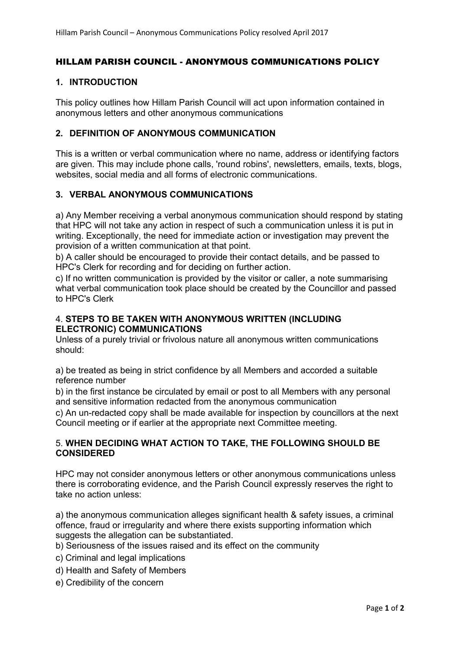## HILLAM PARISH COUNCIL - ANONYMOUS COMMUNICATIONS POLICY

### 1. INTRODUCTION

This policy outlines how Hillam Parish Council will act upon information contained in anonymous letters and other anonymous communications

#### 2. DEFINITION OF ANONYMOUS COMMUNICATION

This is a written or verbal communication where no name, address or identifying factors are given. This may include phone calls, 'round robins', newsletters, emails, texts, blogs, websites, social media and all forms of electronic communications.

#### 3. VERBAL ANONYMOUS COMMUNICATIONS

a) Any Member receiving a verbal anonymous communication should respond by stating that HPC will not take any action in respect of such a communication unless it is put in writing. Exceptionally, the need for immediate action or investigation may prevent the provision of a written communication at that point.

b) A caller should be encouraged to provide their contact details, and be passed to HPC's Clerk for recording and for deciding on further action.

c) If no written communication is provided by the visitor or caller, a note summarising what verbal communication took place should be created by the Councillor and passed to HPC's Clerk

#### 4. STEPS TO BE TAKEN WITH ANONYMOUS WRITTEN (INCLUDING ELECTRONIC) COMMUNICATIONS

Unless of a purely trivial or frivolous nature all anonymous written communications should:

a) be treated as being in strict confidence by all Members and accorded a suitable reference number

b) in the first instance be circulated by email or post to all Members with any personal and sensitive information redacted from the anonymous communication

c) An un-redacted copy shall be made available for inspection by councillors at the next Council meeting or if earlier at the appropriate next Committee meeting.

#### 5. WHEN DECIDING WHAT ACTION TO TAKE, THE FOLLOWING SHOULD BE **CONSIDERED**

HPC may not consider anonymous letters or other anonymous communications unless there is corroborating evidence, and the Parish Council expressly reserves the right to take no action unless:

a) the anonymous communication alleges significant health & safety issues, a criminal offence, fraud or irregularity and where there exists supporting information which suggests the allegation can be substantiated.

- b) Seriousness of the issues raised and its effect on the community
- c) Criminal and legal implications
- d) Health and Safety of Members
- e) Credibility of the concern